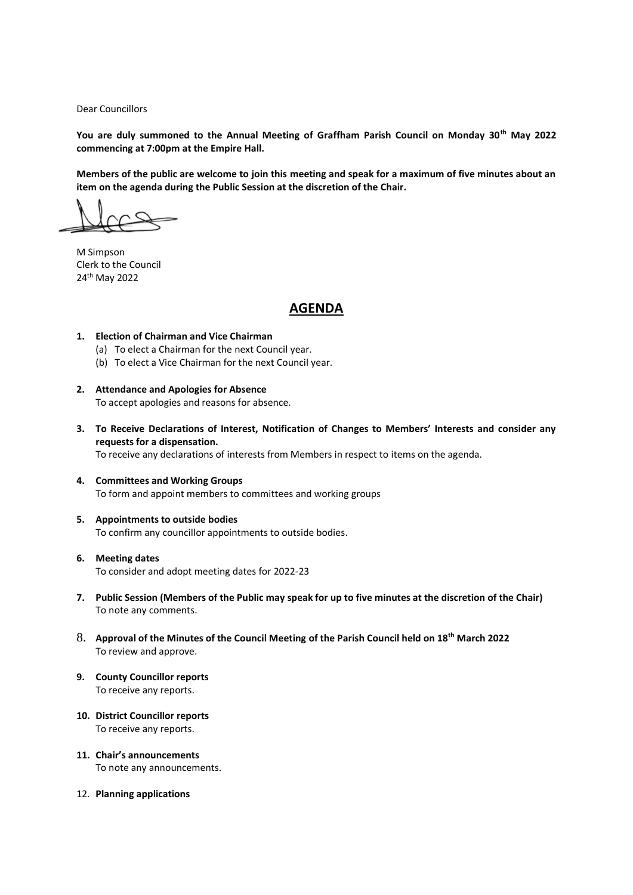Dear Councillors

**You are duly summoned to the Annual Meeting of Graffham Parish Council on Monday 30th May 2022 commencing at 7:00pm at the Empire Hall.**

**Members of the public are welcome to join this meeting and speak for a maximum of five minutes about an item on the agenda during the Public Session at the discretion of the Chair.** 

M Simpson Clerk to the Council 24th May 2022

# **AGENDA**

#### **1. Election of Chairman and Vice Chairman**

- (a) To elect a Chairman for the next Council year.
- (b) To elect a Vice Chairman for the next Council year.
- **2. Attendance and Apologies for Absence** To accept apologies and reasons for absence.
- **3. To Receive Declarations of Interest, Notification of Changes to Members' Interests and consider any requests for a dispensation.** To receive any declarations of interests from Members in respect to items on the agenda.
- **4. Committees and Working Groups** To form and appoint members to committees and working groups
- **5. Appointments to outside bodies** To confirm any councillor appointments to outside bodies.
- **6. Meeting dates** To consider and adopt meeting dates for 2022-23
- **7. Public Session (Members of the Public may speak for up to five minutes at the discretion of the Chair)** To note any comments.
- 8. **Approval of the Minutes of the Council Meeting of the Parish Council held on 18th March 2022** To review and approve.
- **9. County Councillor reports** To receive any reports.
- **10. District Councillor reports** To receive any reports.
- **11. Chair's announcements** To note any announcements.
- 12. **Planning applications**